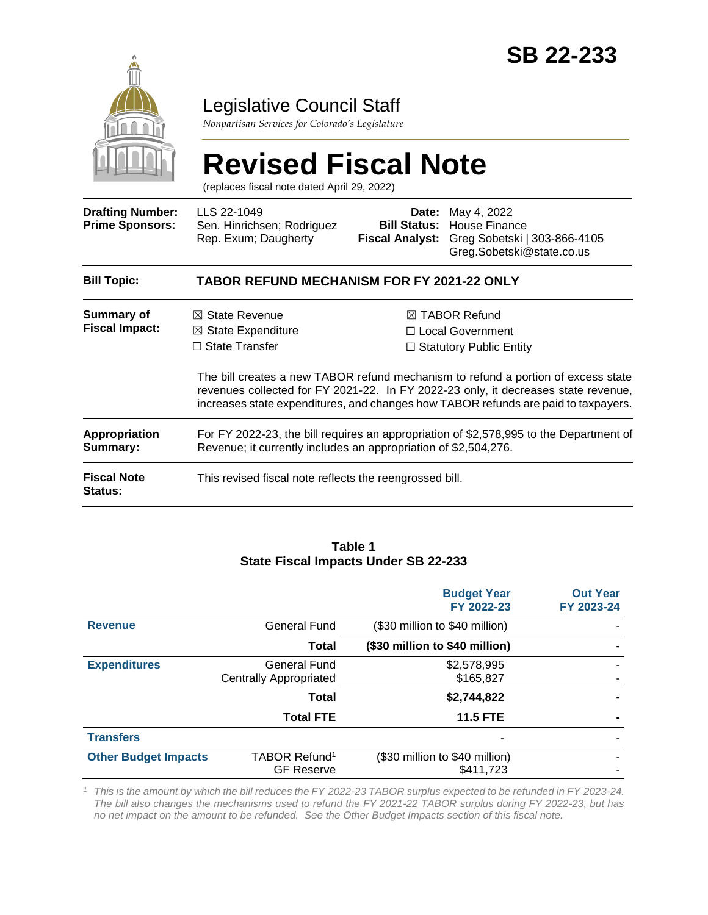

## Legislative Council Staff

*Nonpartisan Services for Colorado's Legislature*

# **Revised Fiscal Note**

(replaces fiscal note dated April 29, 2022)

| <b>Drafting Number:</b><br><b>Prime Sponsors:</b> | LLS 22-1049<br>Sen. Hinrichsen; Rodriguez<br>Rep. Exum; Daugherty                                                                                                        | Date:<br><b>Bill Status:</b><br><b>Fiscal Analyst:</b> | May 4, 2022<br>House Finance<br>Greg Sobetski   303-866-4105<br>Greg.Sobetski@state.co.us                                                                                  |  |
|---------------------------------------------------|--------------------------------------------------------------------------------------------------------------------------------------------------------------------------|--------------------------------------------------------|----------------------------------------------------------------------------------------------------------------------------------------------------------------------------|--|
| <b>Bill Topic:</b>                                | <b>TABOR REFUND MECHANISM FOR FY 2021-22 ONLY</b>                                                                                                                        |                                                        |                                                                                                                                                                            |  |
| Summary of<br><b>Fiscal Impact:</b>               | $\boxtimes$ State Revenue<br>$\boxtimes$ State Expenditure<br>$\Box$ State Transfer                                                                                      |                                                        | $\boxtimes$ TABOR Refund<br>$\Box$ Local Government<br>$\Box$ Statutory Public Entity<br>The bill creates a new TABOR refund mechanism to refund a portion of excess state |  |
|                                                   | revenues collected for FY 2021-22. In FY 2022-23 only, it decreases state revenue,<br>increases state expenditures, and changes how TABOR refunds are paid to taxpayers. |                                                        |                                                                                                                                                                            |  |
| <b>Appropriation</b><br>Summary:                  | For FY 2022-23, the bill requires an appropriation of \$2,578,995 to the Department of<br>Revenue; it currently includes an appropriation of \$2,504,276.                |                                                        |                                                                                                                                                                            |  |
| <b>Fiscal Note</b><br><b>Status:</b>              | This revised fiscal note reflects the reengrossed bill.                                                                                                                  |                                                        |                                                                                                                                                                            |  |

#### **Table 1 State Fiscal Impacts Under SB 22-233**

|                             |                                                      | <b>Budget Year</b><br>FY 2022-23            | <b>Out Year</b><br>FY 2023-24 |
|-----------------------------|------------------------------------------------------|---------------------------------------------|-------------------------------|
| <b>Revenue</b>              | General Fund                                         | (\$30 million to \$40 million)              |                               |
|                             | Total                                                | (\$30 million to \$40 million)              |                               |
| <b>Expenditures</b>         | <b>General Fund</b><br><b>Centrally Appropriated</b> | \$2,578,995<br>\$165,827                    |                               |
|                             | Total                                                | \$2,744,822                                 |                               |
|                             | <b>Total FTE</b>                                     | <b>11.5 FTE</b>                             |                               |
| <b>Transfers</b>            |                                                      |                                             |                               |
| <b>Other Budget Impacts</b> | TABOR Refund <sup>1</sup><br><b>GF Reserve</b>       | (\$30 million to \$40 million)<br>\$411,723 |                               |

*<sup>1</sup> This is the amount by which the bill reduces the FY 2022-23 TABOR surplus expected to be refunded in FY 2023-24. The bill also changes the mechanisms used to refund the FY 2021-22 TABOR surplus during FY 2022-23, but has no net impact on the amount to be refunded. See the Other Budget Impacts section of this fiscal note.*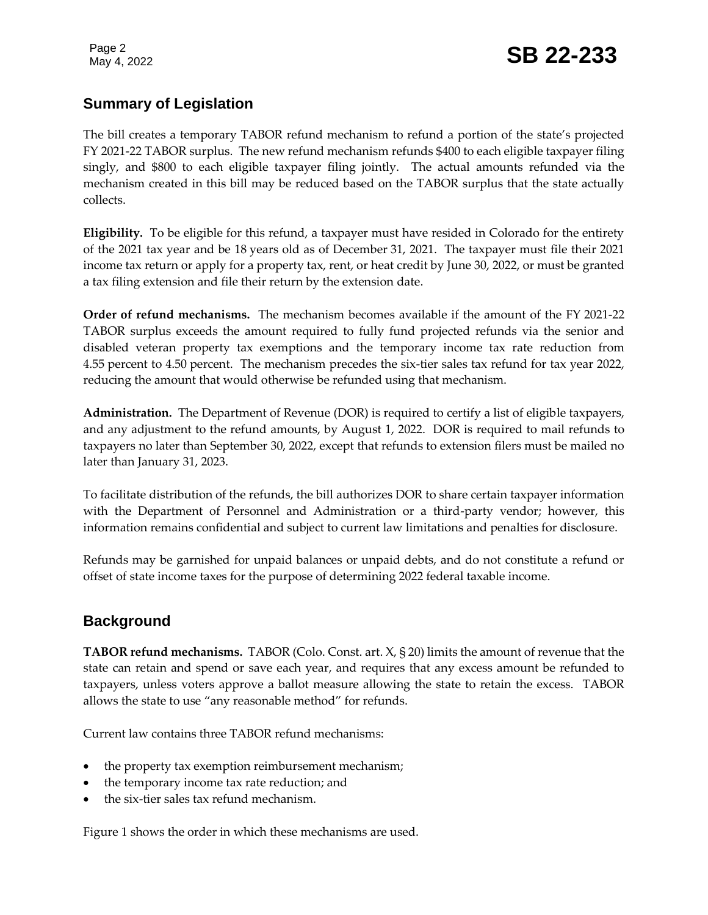Page 2

## **Summary of Legislation**

The bill creates a temporary TABOR refund mechanism to refund a portion of the state's projected FY 2021-22 TABOR surplus. The new refund mechanism refunds \$400 to each eligible taxpayer filing singly, and \$800 to each eligible taxpayer filing jointly. The actual amounts refunded via the mechanism created in this bill may be reduced based on the TABOR surplus that the state actually collects.

**Eligibility.** To be eligible for this refund, a taxpayer must have resided in Colorado for the entirety of the 2021 tax year and be 18 years old as of December 31, 2021. The taxpayer must file their 2021 income tax return or apply for a property tax, rent, or heat credit by June 30, 2022, or must be granted a tax filing extension and file their return by the extension date.

**Order of refund mechanisms.** The mechanism becomes available if the amount of the FY 2021-22 TABOR surplus exceeds the amount required to fully fund projected refunds via the senior and disabled veteran property tax exemptions and the temporary income tax rate reduction from 4.55 percent to 4.50 percent. The mechanism precedes the six-tier sales tax refund for tax year 2022, reducing the amount that would otherwise be refunded using that mechanism.

**Administration.** The Department of Revenue (DOR) is required to certify a list of eligible taxpayers, and any adjustment to the refund amounts, by August 1, 2022. DOR is required to mail refunds to taxpayers no later than September 30, 2022, except that refunds to extension filers must be mailed no later than January 31, 2023.

To facilitate distribution of the refunds, the bill authorizes DOR to share certain taxpayer information with the Department of Personnel and Administration or a third-party vendor; however, this information remains confidential and subject to current law limitations and penalties for disclosure.

Refunds may be garnished for unpaid balances or unpaid debts, and do not constitute a refund or offset of state income taxes for the purpose of determining 2022 federal taxable income.

## **Background**

**TABOR refund mechanisms.** TABOR (Colo. Const. art. X, § 20) limits the amount of revenue that the state can retain and spend or save each year, and requires that any excess amount be refunded to taxpayers, unless voters approve a ballot measure allowing the state to retain the excess. TABOR allows the state to use "any reasonable method" for refunds.

Current law contains three TABOR refund mechanisms:

- the property tax exemption reimbursement mechanism;
- the temporary income tax rate reduction; and
- the six-tier sales tax refund mechanism.

Figure 1 shows the order in which these mechanisms are used.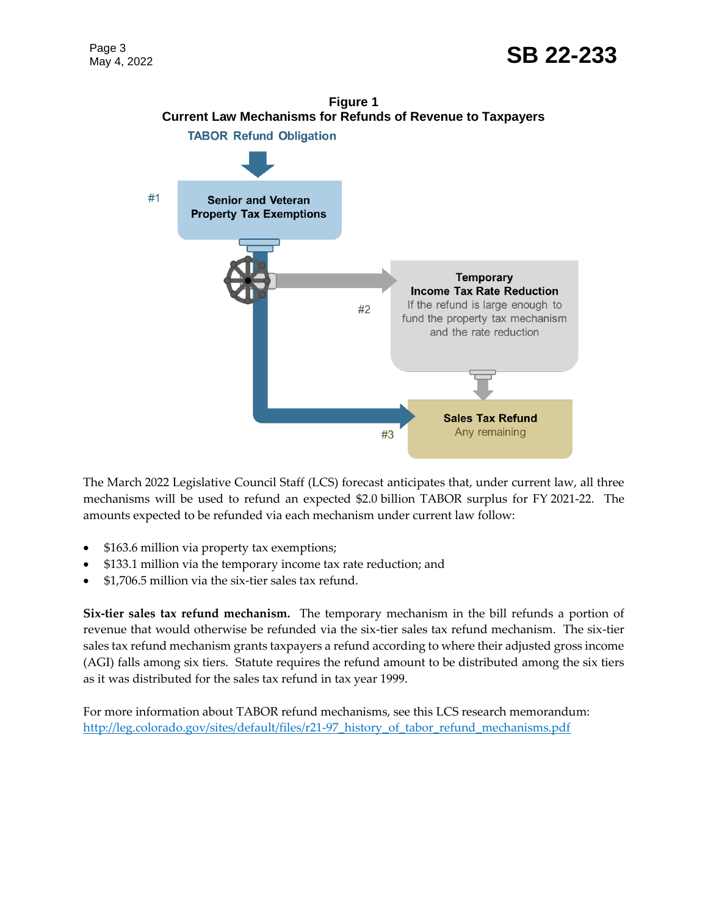

The March 2022 Legislative Council Staff (LCS) forecast anticipates that, under current law, all three mechanisms will be used to refund an expected \$2.0 billion TABOR surplus for FY 2021-22. The amounts expected to be refunded via each mechanism under current law follow:

- \$163.6 million via property tax exemptions;
- \$133.1 million via the temporary income tax rate reduction; and
- \$1,706.5 million via the six-tier sales tax refund.

**Six-tier sales tax refund mechanism.** The temporary mechanism in the bill refunds a portion of revenue that would otherwise be refunded via the six-tier sales tax refund mechanism. The six-tier sales tax refund mechanism grants taxpayers a refund according to where their adjusted gross income (AGI) falls among six tiers. Statute requires the refund amount to be distributed among the six tiers as it was distributed for the sales tax refund in tax year 1999.

For more information about TABOR refund mechanisms, see this LCS research memorandum: [http://leg.colorado.gov/sites/default/files/r21-97\\_history\\_of\\_tabor\\_refund\\_mechanisms.pdf](http://leg.colorado.gov/sites/default/files/r21-97_history_of_tabor_refund_mechanisms.pdf)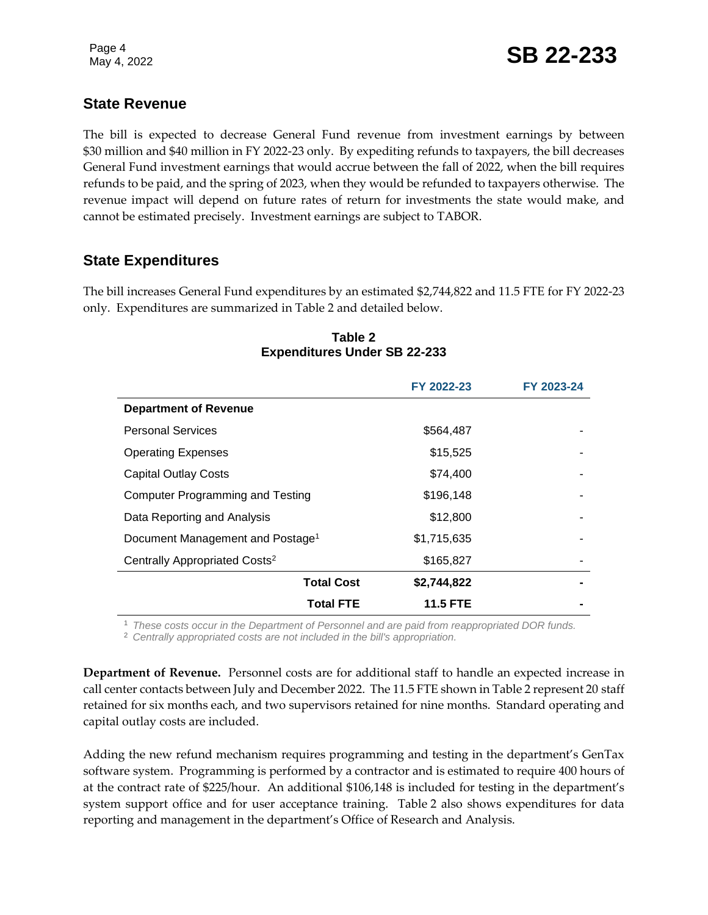## **State Revenue**

The bill is expected to decrease General Fund revenue from investment earnings by between \$30 million and \$40 million in FY 2022-23 only. By expediting refunds to taxpayers, the bill decreases General Fund investment earnings that would accrue between the fall of 2022, when the bill requires refunds to be paid, and the spring of 2023, when they would be refunded to taxpayers otherwise. The revenue impact will depend on future rates of return for investments the state would make, and cannot be estimated precisely. Investment earnings are subject to TABOR.

## **State Expenditures**

The bill increases General Fund expenditures by an estimated \$2,744,822 and 11.5 FTE for FY 2022-23 only. Expenditures are summarized in Table 2 and detailed below.

|                                              | FY 2022-23      | FY 2023-24 |
|----------------------------------------------|-----------------|------------|
| <b>Department of Revenue</b>                 |                 |            |
| <b>Personal Services</b>                     | \$564,487       |            |
| <b>Operating Expenses</b>                    | \$15,525        |            |
| <b>Capital Outlay Costs</b>                  | \$74,400        |            |
| <b>Computer Programming and Testing</b>      | \$196,148       |            |
| Data Reporting and Analysis                  | \$12,800        |            |
| Document Management and Postage <sup>1</sup> | \$1,715,635     |            |
| Centrally Appropriated Costs <sup>2</sup>    | \$165,827       |            |
| <b>Total Cost</b>                            | \$2,744,822     |            |
| Total FTE                                    | <b>11.5 FTE</b> |            |

#### **Table 2 Expenditures Under SB 22-233**

<sup>1</sup> *These costs occur in the Department of Personnel and are paid from reappropriated DOR funds.*

<sup>2</sup> *Centrally appropriated costs are not included in the bill's appropriation.*

**Department of Revenue.** Personnel costs are for additional staff to handle an expected increase in call center contacts between July and December 2022. The 11.5 FTE shown in Table 2 represent 20 staff retained for six months each, and two supervisors retained for nine months. Standard operating and capital outlay costs are included.

Adding the new refund mechanism requires programming and testing in the department's GenTax software system. Programming is performed by a contractor and is estimated to require 400 hours of at the contract rate of \$225/hour. An additional \$106,148 is included for testing in the department's system support office and for user acceptance training. Table 2 also shows expenditures for data reporting and management in the department's Office of Research and Analysis.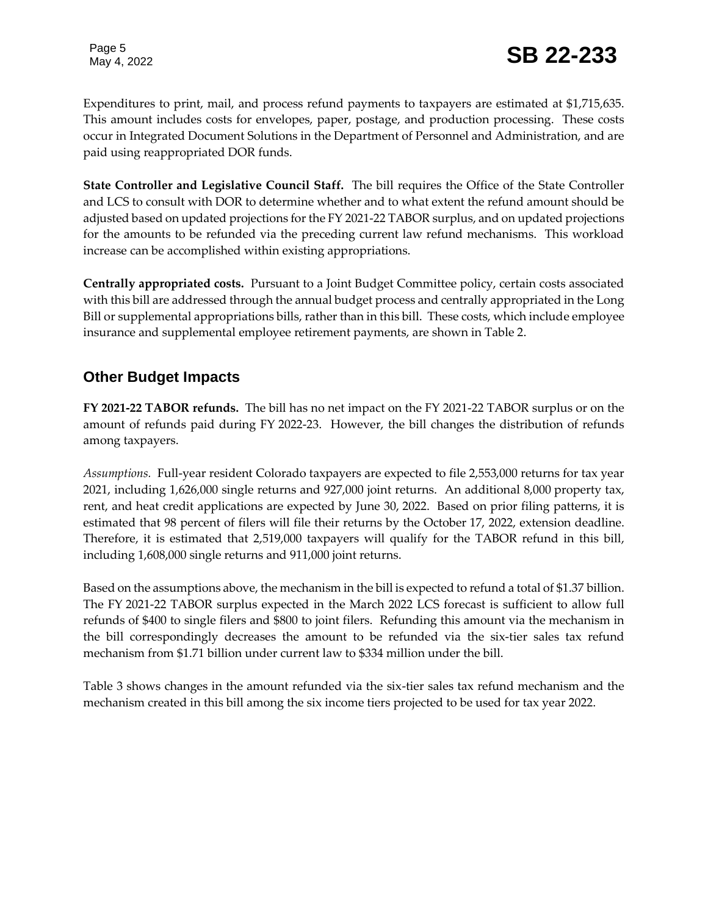Expenditures to print, mail, and process refund payments to taxpayers are estimated at \$1,715,635. This amount includes costs for envelopes, paper, postage, and production processing. These costs occur in Integrated Document Solutions in the Department of Personnel and Administration, and are paid using reappropriated DOR funds.

**State Controller and Legislative Council Staff.** The bill requires the Office of the State Controller and LCS to consult with DOR to determine whether and to what extent the refund amount should be adjusted based on updated projections for the FY 2021-22 TABOR surplus, and on updated projections for the amounts to be refunded via the preceding current law refund mechanisms. This workload increase can be accomplished within existing appropriations.

**Centrally appropriated costs.** Pursuant to a Joint Budget Committee policy, certain costs associated with this bill are addressed through the annual budget process and centrally appropriated in the Long Bill or supplemental appropriations bills, rather than in this bill. These costs, which include employee insurance and supplemental employee retirement payments, are shown in Table 2.

## **Other Budget Impacts**

**FY 2021-22 TABOR refunds.** The bill has no net impact on the FY 2021-22 TABOR surplus or on the amount of refunds paid during FY 2022-23. However, the bill changes the distribution of refunds among taxpayers.

*Assumptions.* Full-year resident Colorado taxpayers are expected to file 2,553,000 returns for tax year 2021, including 1,626,000 single returns and 927,000 joint returns. An additional 8,000 property tax, rent, and heat credit applications are expected by June 30, 2022. Based on prior filing patterns, it is estimated that 98 percent of filers will file their returns by the October 17, 2022, extension deadline. Therefore, it is estimated that 2,519,000 taxpayers will qualify for the TABOR refund in this bill, including 1,608,000 single returns and 911,000 joint returns.

Based on the assumptions above, the mechanism in the bill is expected to refund a total of \$1.37 billion. The FY 2021-22 TABOR surplus expected in the March 2022 LCS forecast is sufficient to allow full refunds of \$400 to single filers and \$800 to joint filers. Refunding this amount via the mechanism in the bill correspondingly decreases the amount to be refunded via the six-tier sales tax refund mechanism from \$1.71 billion under current law to \$334 million under the bill.

Table 3 shows changes in the amount refunded via the six-tier sales tax refund mechanism and the mechanism created in this bill among the six income tiers projected to be used for tax year 2022.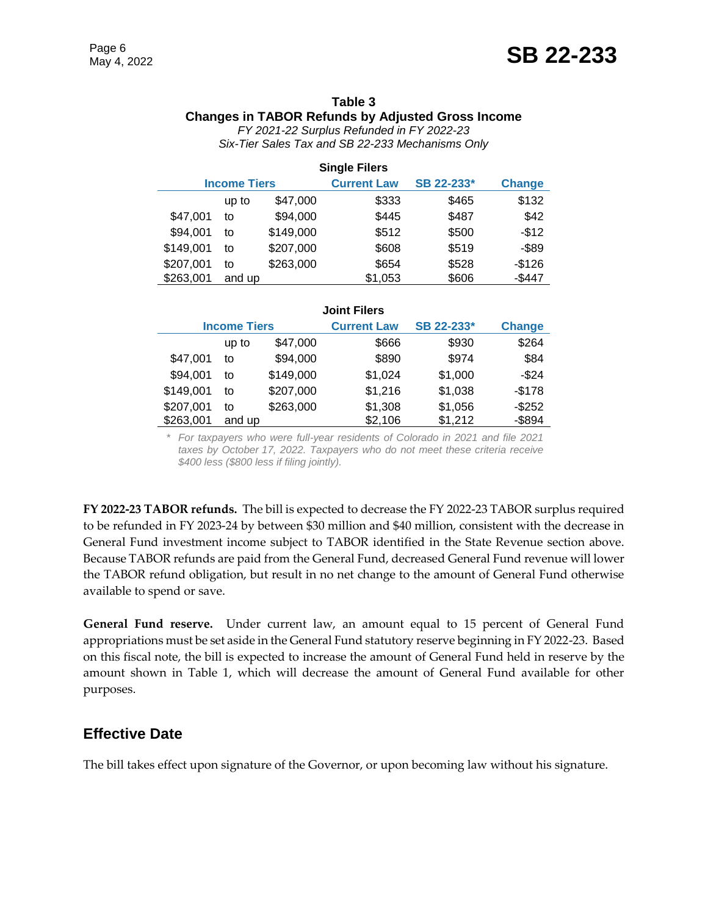#### **Table 3 Changes in TABOR Refunds by Adjusted Gross Income**

*FY 2021-22 Surplus Refunded in FY 2022-23 Six-Tier Sales Tax and SB 22-233 Mechanisms Only*

| <b>Single Filers</b> |        |                    |            |               |          |
|----------------------|--------|--------------------|------------|---------------|----------|
| <b>Income Tiers</b>  |        | <b>Current Law</b> | SB 22-233* | <b>Change</b> |          |
|                      | up to  | \$47,000           | \$333      | \$465         | \$132    |
| \$47,001             | to     | \$94,000           | \$445      | \$487         | \$42     |
| \$94,001             | to     | \$149,000          | \$512      | \$500         | $-$12$   |
| \$149,001            | to     | \$207,000          | \$608      | \$519         | $-$ \$89 |
| \$207,001            | to     | \$263,000          | \$654      | \$528         | $-$126$  |
| \$263,001            | and up |                    | \$1,053    | \$606         | $-$447$  |

| <b>Joint Filers</b> |        |                    |            |               |           |
|---------------------|--------|--------------------|------------|---------------|-----------|
| <b>Income Tiers</b> |        | <b>Current Law</b> | SB 22-233* | <b>Change</b> |           |
|                     | up to  | \$47,000           | \$666      | \$930         | \$264     |
| \$47,001            | to     | \$94,000           | \$890      | \$974         | \$84      |
| \$94,001            | to     | \$149,000          | \$1,024    | \$1,000       | $-$ \$24  |
| \$149,001           | to     | \$207,000          | \$1,216    | \$1,038       | $-$178$   |
| \$207,001           | t٥     | \$263,000          | \$1,308    | \$1,056       | $-$252$   |
| \$263,001           | and up |                    | \$2,106    | \$1,212       | $-$ \$894 |

\* *For taxpayers who were full-year residents of Colorado in 2021 and file 2021 taxes by October 17, 2022. Taxpayers who do not meet these criteria receive \$400 less (\$800 less if filing jointly).*

**FY 2022-23 TABOR refunds.** The bill is expected to decrease the FY 2022-23 TABOR surplus required to be refunded in FY 2023-24 by between \$30 million and \$40 million, consistent with the decrease in General Fund investment income subject to TABOR identified in the State Revenue section above. Because TABOR refunds are paid from the General Fund, decreased General Fund revenue will lower the TABOR refund obligation, but result in no net change to the amount of General Fund otherwise available to spend or save.

**General Fund reserve.** Under current law, an amount equal to 15 percent of General Fund appropriations must be set aside in the General Fund statutory reserve beginning in FY 2022-23. Based on this fiscal note, the bill is expected to increase the amount of General Fund held in reserve by the amount shown in Table 1, which will decrease the amount of General Fund available for other purposes.

## **Effective Date**

The bill takes effect upon signature of the Governor, or upon becoming law without his signature.